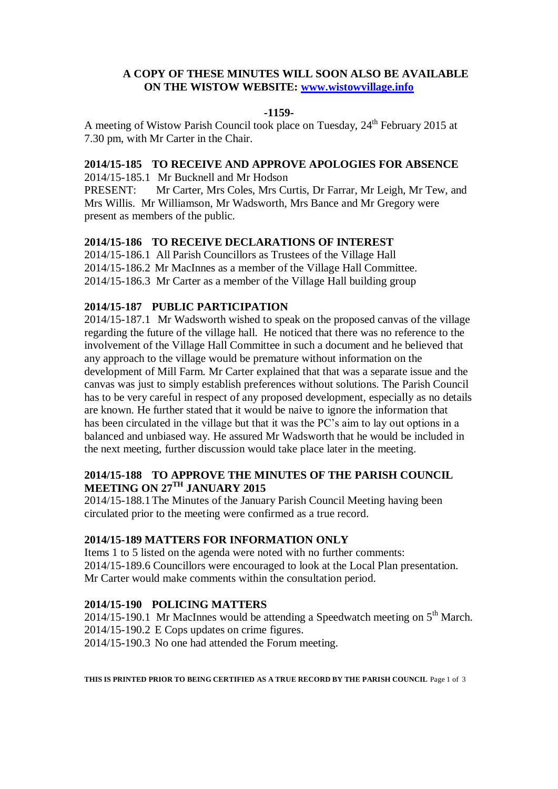## **A COPY OF THESE MINUTES WILL SOON ALSO BE AVAILABLE ON THE WISTOW WEBSITE: [www.wistowvillage.info](http://www.wistowvillage.info/)**

#### **-1159-**

A meeting of Wistow Parish Council took place on Tuesday, 24<sup>th</sup> February 2015 at 7.30 pm, with Mr Carter in the Chair.

## **2014/15-185 TO RECEIVE AND APPROVE APOLOGIES FOR ABSENCE**

2014/15-185.1 Mr Bucknell and Mr Hodson

PRESENT: Mr Carter, Mrs Coles, Mrs Curtis, Dr Farrar, Mr Leigh, Mr Tew, and Mrs Willis. Mr Williamson, Mr Wadsworth, Mrs Bance and Mr Gregory were present as members of the public.

## **2014/15-186 TO RECEIVE DECLARATIONS OF INTEREST**

2014/15-186.1 All Parish Councillors as Trustees of the Village Hall 2014/15-186.2 Mr MacInnes as a member of the Village Hall Committee. 2014/15-186.3 Mr Carter as a member of the Village Hall building group

## **2014/15-187 PUBLIC PARTICIPATION**

2014/15-187.1 Mr Wadsworth wished to speak on the proposed canvas of the village regarding the future of the village hall. He noticed that there was no reference to the involvement of the Village Hall Committee in such a document and he believed that any approach to the village would be premature without information on the development of Mill Farm. Mr Carter explained that that was a separate issue and the canvas was just to simply establish preferences without solutions. The Parish Council has to be very careful in respect of any proposed development, especially as no details are known. He further stated that it would be naive to ignore the information that has been circulated in the village but that it was the PC's aim to lay out options in a balanced and unbiased way. He assured Mr Wadsworth that he would be included in the next meeting, further discussion would take place later in the meeting.

# **2014/15-188 TO APPROVE THE MINUTES OF THE PARISH COUNCIL MEETING ON 27 TH JANUARY 2015**

2014/15-188.1The Minutes of the January Parish Council Meeting having been circulated prior to the meeting were confirmed as a true record.

## **2014/15-189 MATTERS FOR INFORMATION ONLY**

Items 1 to 5 listed on the agenda were noted with no further comments: 2014/15-189.6 Councillors were encouraged to look at the Local Plan presentation. Mr Carter would make comments within the consultation period.

## **2014/15-190 POLICING MATTERS**

2014/15-190.1 Mr MacInnes would be attending a Speedwatch meeting on  $5<sup>th</sup>$  March. 2014/15-190.2 E Cops updates on crime figures. 2014/15-190.3 No one had attended the Forum meeting.

**THIS IS PRINTED PRIOR TO BEING CERTIFIED AS A TRUE RECORD BY THE PARISH COUNCIL** Page 1 of 3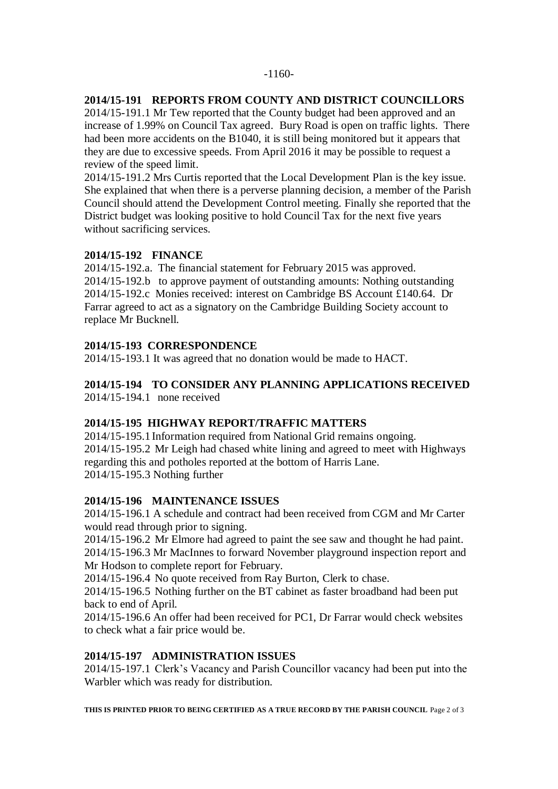# **2014/15-191 REPORTS FROM COUNTY AND DISTRICT COUNCILLORS**

2014/15-191.1 Mr Tew reported that the County budget had been approved and an increase of 1.99% on Council Tax agreed. Bury Road is open on traffic lights. There had been more accidents on the B1040, it is still being monitored but it appears that they are due to excessive speeds. From April 2016 it may be possible to request a review of the speed limit.

2014/15-191.2 Mrs Curtis reported that the Local Development Plan is the key issue. She explained that when there is a perverse planning decision, a member of the Parish Council should attend the Development Control meeting. Finally she reported that the District budget was looking positive to hold Council Tax for the next five years without sacrificing services.

# **2014/15-192 FINANCE**

2014/15-192.a. The financial statement for February 2015 was approved. 2014/15-192.b to approve payment of outstanding amounts: Nothing outstanding 2014/15-192.c Monies received: interest on Cambridge BS Account £140.64. Dr Farrar agreed to act as a signatory on the Cambridge Building Society account to replace Mr Bucknell.

# **2014/15-193 CORRESPONDENCE**

2014/15-193.1 It was agreed that no donation would be made to HACT.

## **2014/15-194 TO CONSIDER ANY PLANNING APPLICATIONS RECEIVED**  2014/15-194.1 none received

# **2014/15-195 HIGHWAY REPORT/TRAFFIC MATTERS**

2014/15-195.1Information required from National Grid remains ongoing. 2014/15-195.2 Mr Leigh had chased white lining and agreed to meet with Highways regarding this and potholes reported at the bottom of Harris Lane. 2014/15-195.3 Nothing further

## **2014/15-196 MAINTENANCE ISSUES**

2014/15-196.1 A schedule and contract had been received from CGM and Mr Carter would read through prior to signing.

2014/15-196.2 Mr Elmore had agreed to paint the see saw and thought he had paint. 2014/15-196.3 Mr MacInnes to forward November playground inspection report and Mr Hodson to complete report for February.

2014/15-196.4 No quote received from Ray Burton, Clerk to chase.

2014/15-196.5 Nothing further on the BT cabinet as faster broadband had been put back to end of April.

2014/15-196.6 An offer had been received for PC1, Dr Farrar would check websites to check what a fair price would be.

# **2014/15-197 ADMINISTRATION ISSUES**

2014/15-197.1 Clerk's Vacancy and Parish Councillor vacancy had been put into the Warbler which was ready for distribution.

**THIS IS PRINTED PRIOR TO BEING CERTIFIED AS A TRUE RECORD BY THE PARISH COUNCIL** Page 2 of 3